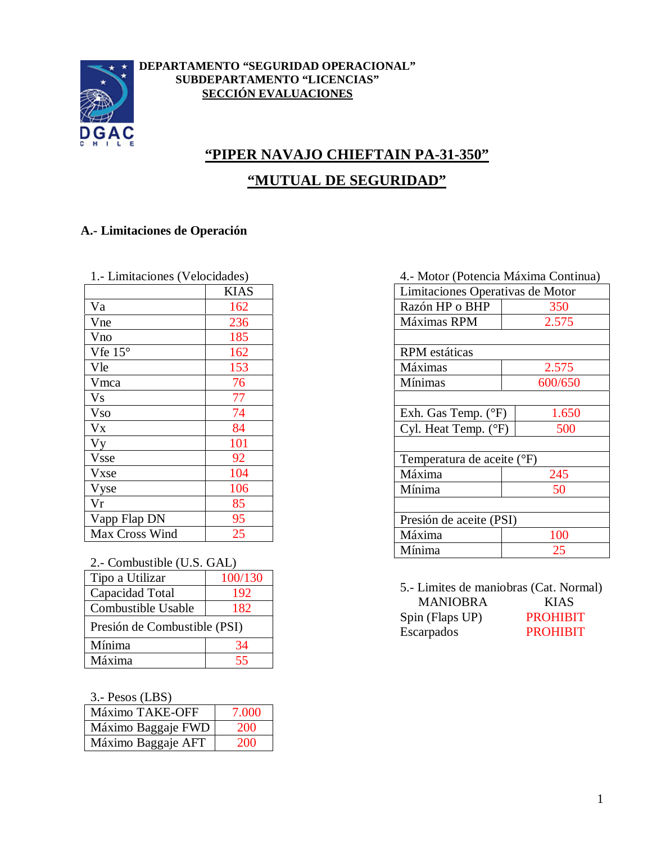

#### **DEPARTAMENTO "SEGURIDAD OPERACIONAL" SUBDEPARTAMENTO "LICENCIAS" SECCIÓN EVALUACIONES**

# **"PIPER NAVAJO CHIEFTAIN PA-31-350" "MUTUAL DE SEGURIDAD"**

## **A.- Limitaciones de Operación**

| 1.- Limitaciones (Velocidades) |      |
|--------------------------------|------|
|                                | KIAS |
| Va                             | 162  |
| Vne                            | 236  |
| Vno                            | 185  |
| Vfe $15^{\circ}$               | 162  |
| Vle                            | 153  |
| Vmca                           | 76   |
| ${\rm Vs}$                     | 77   |
| <b>Vso</b>                     | 74   |
| <b>V<sub>x</sub></b>           | 84   |
| Vy                             | 101  |
| <b>Vsse</b>                    | 92   |
| <b>V</b> xse                   | 104  |
| Vyse                           | 106  |
| Vr                             | 85   |
| Vapp Flap DN                   | 95   |
| Max Cross Wind                 | 25   |

## 2.- Combustible (U.S. GAL)

| Tipo a Utilizar              | 100/130 |
|------------------------------|---------|
| Capacidad Total              | 192     |
| Combustible Usable           | 182     |
| Presión de Combustible (PSI) |         |
| Mínima                       | 34      |
| Máxima                       | 55      |

3.- Pesos (LBS)

| Máximo TAKE-OFF    | 7.000 |
|--------------------|-------|
| Máximo Baggaje FWD | 200   |
| Máximo Baggaje AFT | 200   |

#### 4.- Motor (Potencia Máxima Continua)

| $110101$ (1 ottenera Framman Comman) |         |  |  |
|--------------------------------------|---------|--|--|
| Limitaciones Operativas de Motor     |         |  |  |
| Razón HP o BHP                       | 350     |  |  |
| Máximas RPM                          | 2.575   |  |  |
|                                      |         |  |  |
| <b>RPM</b> estáticas                 |         |  |  |
| Máximas                              | 2.575   |  |  |
| Mínimas                              | 600/650 |  |  |
|                                      |         |  |  |
| Exh. Gas Temp. (°F)<br>1.650         |         |  |  |
| Cyl. Heat Temp. (°F)                 | 500     |  |  |
|                                      |         |  |  |
| Temperatura de aceite (°F)           |         |  |  |
| Máxima                               | 245     |  |  |
| Mínima                               | 50      |  |  |
|                                      |         |  |  |
| Presión de aceite (PSI)              |         |  |  |
| Máxima                               | 100     |  |  |
| Mínima                               | 25      |  |  |
|                                      |         |  |  |

5.- Limites de maniobras (Cat. Normal) MANIOBRA KIAS Spin (Flaps UP) PROHIBIT Escarpados PROHIBIT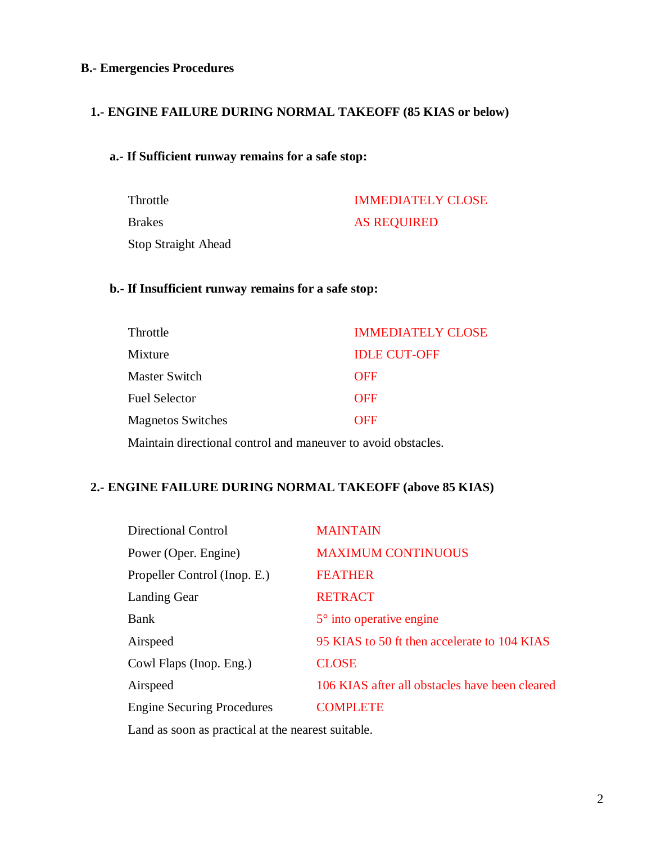#### **B.- Emergencies Procedures**

#### **1.- ENGINE FAILURE DURING NORMAL TAKEOFF (85 KIAS or below)**

#### **a.- If Sufficient runway remains for a safe stop:**

Throttle **IMMEDIATELY CLOSE** Brakes AS REQUIRED Stop Straight Ahead

#### **b.- If Insufficient runway remains for a safe stop:**

| Throttle                                                      | <b>IMMEDIATELY CLOSE</b> |  |
|---------------------------------------------------------------|--------------------------|--|
| Mixture                                                       | <b>IDLE CUT-OFF</b>      |  |
| <b>Master Switch</b>                                          | <b>OFF</b>               |  |
| <b>Fuel Selector</b>                                          | <b>OFF</b>               |  |
| <b>Magnetos Switches</b>                                      | <b>OFF</b>               |  |
| Maintain directional control and maneuver to avoid obstacles. |                          |  |

# **2.- ENGINE FAILURE DURING NORMAL TAKEOFF (above 85 KIAS)**

| <b>MAINTAIN</b>                                |
|------------------------------------------------|
| <b>MAXIMUM CONTINUOUS</b>                      |
| <b>FEATHER</b>                                 |
| <b>RETRACT</b>                                 |
| $5^\circ$ into operative engine                |
| 95 KIAS to 50 ft then accelerate to 104 KIAS   |
| <b>CLOSE</b>                                   |
| 106 KIAS after all obstacles have been cleared |
| <b>COMPLETE</b>                                |
|                                                |

Land as soon as practical at the nearest suitable.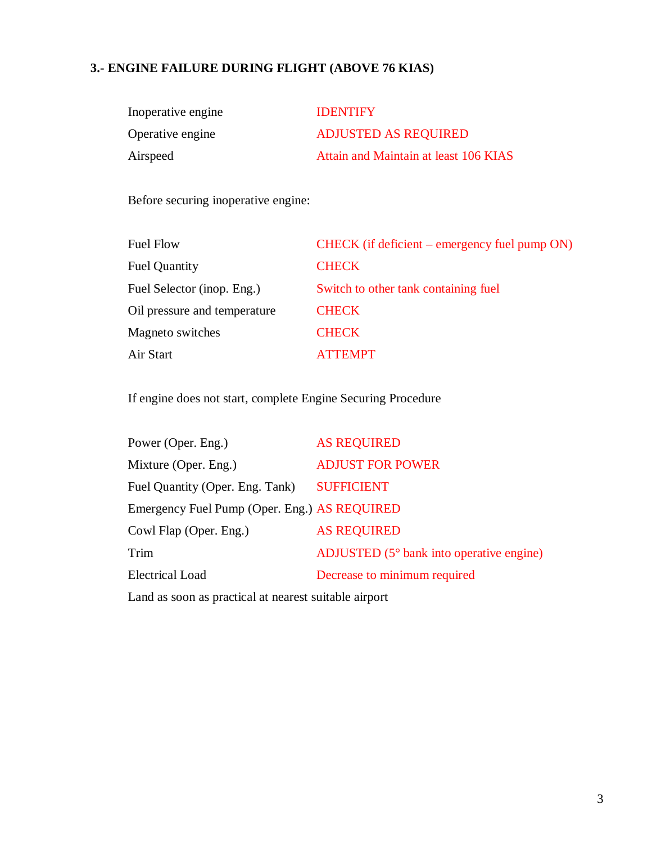# **3.- ENGINE FAILURE DURING FLIGHT (ABOVE 76 KIAS)**

| Inoperative engine | <b>IDENTIFY</b>                       |
|--------------------|---------------------------------------|
| Operative engine   | <b>ADJUSTED AS REQUIRED</b>           |
| Airspeed           | Attain and Maintain at least 106 KIAS |

Before securing inoperative engine:

| <b>Fuel Flow</b>             | CHECK (if deficient – emergency fuel pump ON) |
|------------------------------|-----------------------------------------------|
| <b>Fuel Quantity</b>         | <b>CHECK</b>                                  |
| Fuel Selector (inop. Eng.)   | Switch to other tank containing fuel          |
| Oil pressure and temperature | <b>CHECK</b>                                  |
| Magneto switches             | <b>CHECK</b>                                  |
| Air Start                    | <b>ATTEMPT</b>                                |

If engine does not start, complete Engine Securing Procedure

| Power (Oper. Eng.)                                                                                                                                                                                                                                                                       | <b>AS REQUIRED</b>                                |
|------------------------------------------------------------------------------------------------------------------------------------------------------------------------------------------------------------------------------------------------------------------------------------------|---------------------------------------------------|
| Mixture (Oper. Eng.)                                                                                                                                                                                                                                                                     | <b>ADJUST FOR POWER</b>                           |
| Fuel Quantity (Oper. Eng. Tank)                                                                                                                                                                                                                                                          | <b>SUFFICIENT</b>                                 |
| Emergency Fuel Pump (Oper. Eng.) AS REQUIRED                                                                                                                                                                                                                                             |                                                   |
| Cowl Flap (Oper. Eng.)                                                                                                                                                                                                                                                                   | <b>AS REQUIRED</b>                                |
| Trim                                                                                                                                                                                                                                                                                     | ADJUSTED $(5^{\circ}$ bank into operative engine) |
| <b>Electrical Load</b>                                                                                                                                                                                                                                                                   | Decrease to minimum required                      |
| $\mathbf{r}$ , and $\mathbf{r}$ , and $\mathbf{r}$ , and $\mathbf{r}$ , and $\mathbf{r}$ , and $\mathbf{r}$ , and $\mathbf{r}$ , and $\mathbf{r}$ , and $\mathbf{r}$ , and $\mathbf{r}$ , and $\mathbf{r}$ , and $\mathbf{r}$ , and $\mathbf{r}$ , and $\mathbf{r}$ , and $\mathbf{r}$ , |                                                   |

Land as soon as practical at nearest suitable airport